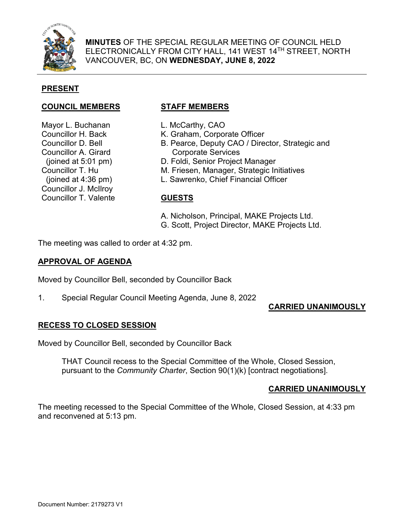

**MINUTES** OF THE SPECIAL REGULAR MEETING OF COUNCIL HELD ELECTRONICALLY FROM CITY HALL, 141 WEST 14TH STREET, NORTH VANCOUVER, BC, ON **WEDNESDAY, JUNE 8, 2022**

# **PRESENT**

#### **COUNCIL MEMBERS STAFF MEMBERS**

Mayor L. Buchanan Councillor H. Back Councillor D. Bell Councillor A. Girard (joined at 5:01 pm) Councillor T. Hu (joined at 4:36 pm) Councillor J. McIlroy Councillor T. Valente

- L. McCarthy, CAO
- K. Graham, Corporate Officer
- B. Pearce, Deputy CAO / Director, Strategic and Corporate Services
- D. Foldi, Senior Project Manager
- M. Friesen, Manager, Strategic Initiatives
- L. Sawrenko, Chief Financial Officer

#### **GUESTS**

- A. Nicholson, Principal, MAKE Projects Ltd.
- G. Scott, Project Director, MAKE Projects Ltd.

The meeting was called to order at 4:32 pm.

#### **APPROVAL OF AGENDA**

Moved by Councillor Bell, seconded by Councillor Back

1. Special Regular Council Meeting Agenda, June 8, 2022

## **CARRIED UNANIMOUSLY**

## **RECESS TO CLOSED SESSION**

Moved by Councillor Bell, seconded by Councillor Back

THAT Council recess to the Special Committee of the Whole, Closed Session, pursuant to the *Community Charter*, Section 90(1)(k) [contract negotiations].

## **CARRIED UNANIMOUSLY**

The meeting recessed to the Special Committee of the Whole, Closed Session, at 4:33 pm and reconvened at 5:13 pm.